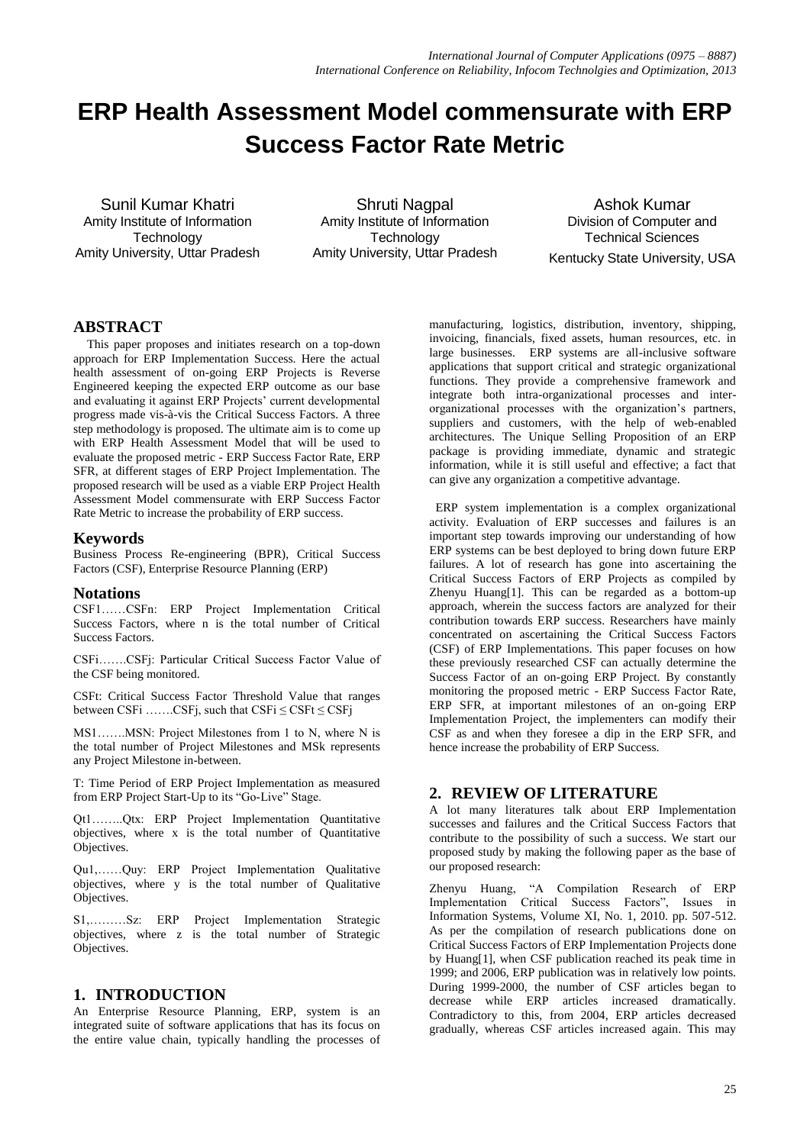# **ERP Health Assessment Model commensurate with ERP Success Factor Rate Metric**

Sunil Kumar Khatri Amity Institute of Information **Technology** Amity University, Uttar Pradesh

Shruti Nagpal Amity Institute of Information **Technology** Amity University, Uttar Pradesh

Ashok Kumar Division of Computer and Technical Sciences Kentucky State University, USA

# **ABSTRACT**

This paper proposes and initiates research on a top-down approach for ERP Implementation Success. Here the actual health assessment of on-going ERP Projects is Reverse Engineered keeping the expected ERP outcome as our base and evaluating it against ERP Projects' current developmental progress made vis-à-vis the Critical Success Factors. A three step methodology is proposed. The ultimate aim is to come up with ERP Health Assessment Model that will be used to evaluate the proposed metric - ERP Success Factor Rate, ERP SFR, at different stages of ERP Project Implementation. The proposed research will be used as a viable ERP Project Health Assessment Model commensurate with ERP Success Factor Rate Metric to increase the probability of ERP success.

# **Keywords**

Business Process Re-engineering (BPR), Critical Success Factors (CSF), Enterprise Resource Planning (ERP)

# **Notations**

CSF1……CSFn: ERP Project Implementation Critical Success Factors, where n is the total number of Critical Success Factors.

CSFi…….CSFj: Particular Critical Success Factor Value of the CSF being monitored.

CSFt: Critical Success Factor Threshold Value that ranges between CSFi ……..CSFj, such that  $CSFi \leq CSFt \leq CSFj$ 

MS1…….MSN: Project Milestones from 1 to N, where N is the total number of Project Milestones and MSk represents any Project Milestone in-between.

T: Time Period of ERP Project Implementation as measured from ERP Project Start-Up to its "Go-Live" Stage.

Qt1……..Qtx: ERP Project Implementation Quantitative objectives, where x is the total number of Quantitative Objectives.

Qu1,……Quy: ERP Project Implementation Qualitative objectives, where y is the total number of Qualitative Objectives.

S1,………Sz: ERP Project Implementation Strategic objectives, where z is the total number of Strategic Objectives.

# **1. INTRODUCTION**

An Enterprise Resource Planning, ERP, system is an integrated suite of software applications that has its focus on the entire value chain, typically handling the processes of

manufacturing, logistics, distribution, inventory, shipping, invoicing, financials, fixed assets, human resources, etc. in large businesses. ERP systems are all-inclusive software applications that support critical and strategic organizational functions. They provide a comprehensive framework and integrate both intra-organizational processes and interorganizational processes with the organization's partners, suppliers and customers, with the help of web-enabled architectures. The Unique Selling Proposition of an ERP package is providing immediate, dynamic and strategic information, while it is still useful and effective; a fact that can give any organization a competitive advantage.

 ERP system implementation is a complex organizational activity. Evaluation of ERP successes and failures is an important step towards improving our understanding of how ERP systems can be best deployed to bring down future ERP failures. A lot of research has gone into ascertaining the Critical Success Factors of ERP Projects as compiled by Zhenyu Huang[1]. This can be regarded as a bottom-up approach, wherein the success factors are analyzed for their contribution towards ERP success. Researchers have mainly concentrated on ascertaining the Critical Success Factors (CSF) of ERP Implementations. This paper focuses on how these previously researched CSF can actually determine the Success Factor of an on-going ERP Project. By constantly monitoring the proposed metric - ERP Success Factor Rate, ERP SFR, at important milestones of an on-going ERP Implementation Project, the implementers can modify their CSF as and when they foresee a dip in the ERP SFR, and hence increase the probability of ERP Success.

# **2. REVIEW OF LITERATURE**

A lot many literatures talk about ERP Implementation successes and failures and the Critical Success Factors that contribute to the possibility of such a success. We start our proposed study by making the following paper as the base of our proposed research:

Zhenyu Huang, "A Compilation Research of ERP Implementation Critical Success Factors", Issues in Information Systems, Volume XI, No. 1, 2010. pp. 507-512. As per the compilation of research publications done on Critical Success Factors of ERP Implementation Projects done by Huang[1], when CSF publication reached its peak time in 1999; and 2006, ERP publication was in relatively low points. During 1999-2000, the number of CSF articles began to decrease while ERP articles increased dramatically. Contradictory to this, from 2004, ERP articles decreased gradually, whereas CSF articles increased again. This may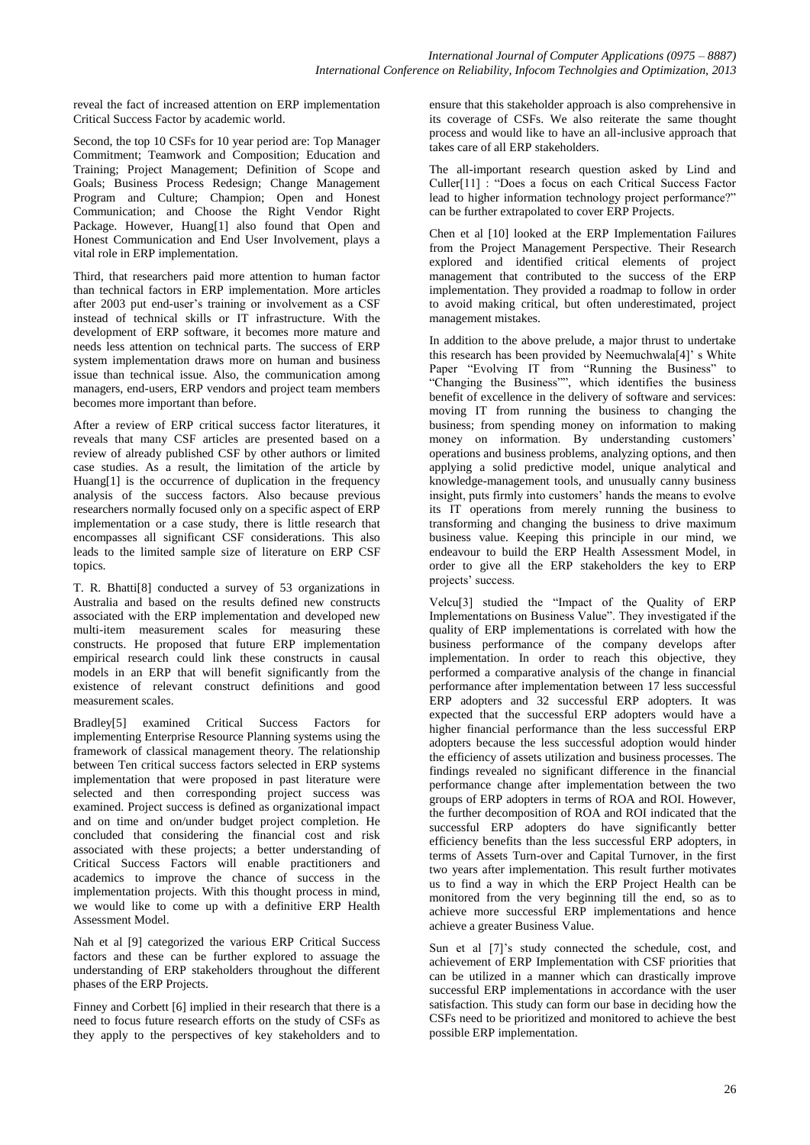reveal the fact of increased attention on ERP implementation Critical Success Factor by academic world.

Second, the top 10 CSFs for 10 year period are: Top Manager Commitment; Teamwork and Composition; Education and Training; Project Management; Definition of Scope and Goals; Business Process Redesign; Change Management Program and Culture; Champion; Open and Honest Communication; and Choose the Right Vendor Right Package. However, Huang[1] also found that Open and Honest Communication and End User Involvement, plays a vital role in ERP implementation.

Third, that researchers paid more attention to human factor than technical factors in ERP implementation. More articles after 2003 put end-user's training or involvement as a CSF instead of technical skills or IT infrastructure. With the development of ERP software, it becomes more mature and needs less attention on technical parts. The success of ERP system implementation draws more on human and business issue than technical issue. Also, the communication among managers, end-users, ERP vendors and project team members becomes more important than before.

After a review of ERP critical success factor literatures, it reveals that many CSF articles are presented based on a review of already published CSF by other authors or limited case studies. As a result, the limitation of the article by Huang[1] is the occurrence of duplication in the frequency analysis of the success factors. Also because previous researchers normally focused only on a specific aspect of ERP implementation or a case study, there is little research that encompasses all significant CSF considerations. This also leads to the limited sample size of literature on ERP CSF topics.

T. R. Bhatti[8] conducted a survey of 53 organizations in Australia and based on the results defined new constructs associated with the ERP implementation and developed new multi-item measurement scales for measuring these constructs. He proposed that future ERP implementation empirical research could link these constructs in causal models in an ERP that will benefit significantly from the existence of relevant construct definitions and good measurement scales.

Bradley[5] examined Critical Success Factors for implementing Enterprise Resource Planning systems using the framework of classical management theory. The relationship between Ten critical success factors selected in ERP systems implementation that were proposed in past literature were selected and then corresponding project success was examined. Project success is defined as organizational impact and on time and on/under budget project completion. He concluded that considering the financial cost and risk associated with these projects; a better understanding of Critical Success Factors will enable practitioners and academics to improve the chance of success in the implementation projects. With this thought process in mind, we would like to come up with a definitive ERP Health Assessment Model.

Nah et al [9] categorized the various ERP Critical Success factors and these can be further explored to assuage the understanding of ERP stakeholders throughout the different phases of the ERP Projects.

Finney and Corbett [6] implied in their research that there is a need to focus future research efforts on the study of CSFs as they apply to the perspectives of key stakeholders and to

ensure that this stakeholder approach is also comprehensive in its coverage of CSFs. We also reiterate the same thought process and would like to have an all-inclusive approach that takes care of all ERP stakeholders.

The all-important research question asked by Lind and Culler[11] : "Does a focus on each Critical Success Factor lead to higher information technology project performance?" can be further extrapolated to cover ERP Projects.

Chen et al [10] looked at the ERP Implementation Failures from the Project Management Perspective. Their Research explored and identified critical elements of project management that contributed to the success of the ERP implementation. They provided a roadmap to follow in order to avoid making critical, but often underestimated, project management mistakes.

In addition to the above prelude, a major thrust to undertake this research has been provided by Neemuchwala[4]' s White Paper "Evolving IT from "Running the Business" to "Changing the Business"", which identifies the business benefit of excellence in the delivery of software and services: moving IT from running the business to changing the business; from spending money on information to making money on information. By understanding customers' operations and business problems, analyzing options, and then applying a solid predictive model, unique analytical and knowledge-management tools, and unusually canny business insight, puts firmly into customers' hands the means to evolve its IT operations from merely running the business to transforming and changing the business to drive maximum business value. Keeping this principle in our mind, we endeavour to build the ERP Health Assessment Model, in order to give all the ERP stakeholders the key to ERP projects' success.

Velcu[3] studied the "Impact of the Quality of ERP Implementations on Business Value". They investigated if the quality of ERP implementations is correlated with how the business performance of the company develops after implementation. In order to reach this objective, they performed a comparative analysis of the change in financial performance after implementation between 17 less successful ERP adopters and 32 successful ERP adopters. It was expected that the successful ERP adopters would have a higher financial performance than the less successful ERP adopters because the less successful adoption would hinder the efficiency of assets utilization and business processes. The findings revealed no significant difference in the financial performance change after implementation between the two groups of ERP adopters in terms of ROA and ROI. However, the further decomposition of ROA and ROI indicated that the successful ERP adopters do have significantly better efficiency benefits than the less successful ERP adopters, in terms of Assets Turn-over and Capital Turnover, in the first two years after implementation. This result further motivates us to find a way in which the ERP Project Health can be monitored from the very beginning till the end, so as to achieve more successful ERP implementations and hence achieve a greater Business Value.

Sun et al [7]'s study connected the schedule, cost, and achievement of ERP Implementation with CSF priorities that can be utilized in a manner which can drastically improve successful ERP implementations in accordance with the user satisfaction. This study can form our base in deciding how the CSFs need to be prioritized and monitored to achieve the best possible ERP implementation.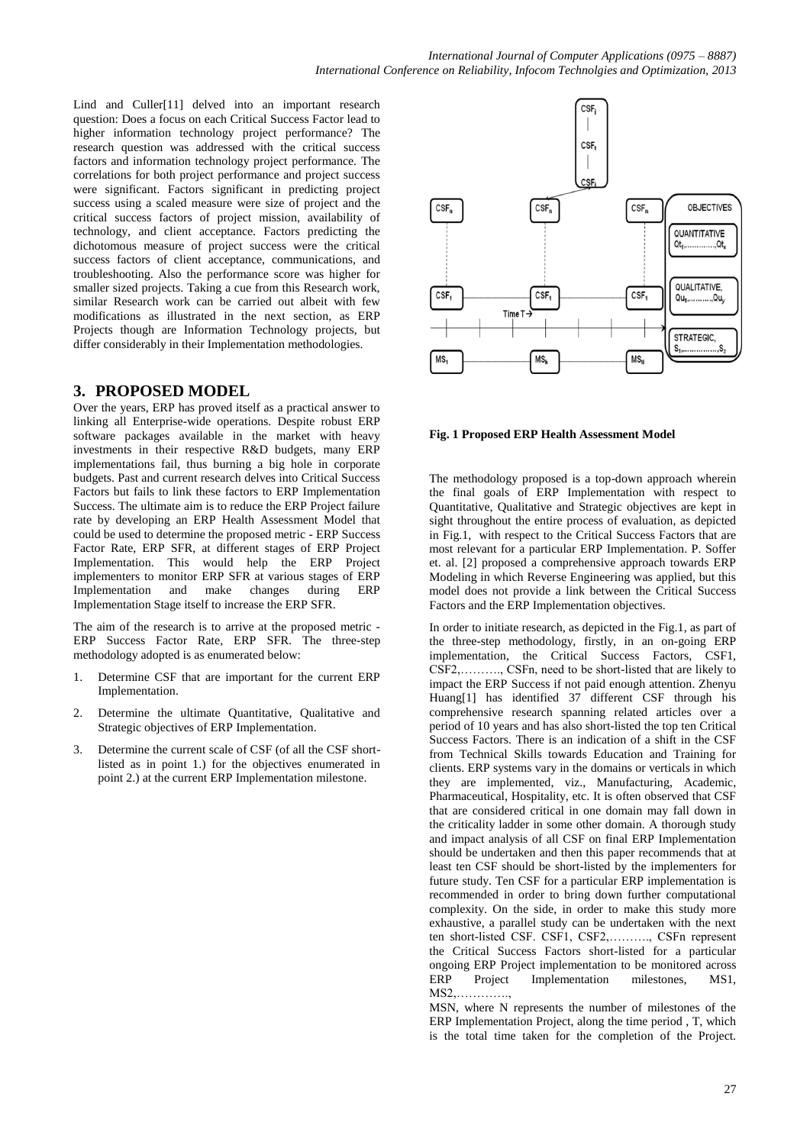Lind and Culler[11] delved into an important research question: Does a focus on each Critical Success Factor lead to higher information technology project performance? The research question was addressed with the critical success factors and information technology project performance. The correlations for both project performance and project success were significant. Factors significant in predicting project success using a scaled measure were size of project and the critical success factors of project mission, availability of technology, and client acceptance. Factors predicting the dichotomous measure of project success were the critical success factors of client acceptance, communications, and troubleshooting. Also the performance score was higher for smaller sized projects. Taking a cue from this Research work, similar Research work can be carried out albeit with few modifications as illustrated in the next section, as ERP Projects though are Information Technology projects, but differ considerably in their Implementation methodologies.

### **3. PROPOSED MODEL**

Over the years, ERP has proved itself as a practical answer to linking all Enterprise-wide operations. Despite robust ERP software packages available in the market with heavy investments in their respective R&D budgets, many ERP implementations fail, thus burning a big hole in corporate budgets. Past and current research delves into Critical Success Factors but fails to link these factors to ERP Implementation Success. The ultimate aim is to reduce the ERP Project failure rate by developing an ERP Health Assessment Model that could be used to determine the proposed metric - ERP Success Factor Rate, ERP SFR, at different stages of ERP Project Implementation. This would help the ERP Project implementers to monitor ERP SFR at various stages of ERP Implementation and make changes during ERP Implementation Stage itself to increase the ERP SFR.

The aim of the research is to arrive at the proposed metric - ERP Success Factor Rate, ERP SFR. The three-step methodology adopted is as enumerated below:

- 1. Determine CSF that are important for the current ERP Implementation.
- 2. Determine the ultimate Quantitative, Qualitative and Strategic objectives of ERP Implementation.
- 3. Determine the current scale of CSF (of all the CSF shortlisted as in point 1.) for the objectives enumerated in point 2.) at the current ERP Implementation milestone.



#### **Fig. 1 Proposed ERP Health Assessment Model**

The methodology proposed is a top-down approach wherein the final goals of ERP Implementation with respect to Quantitative, Qualitative and Strategic objectives are kept in sight throughout the entire process of evaluation, as depicted in Fig.1, with respect to the Critical Success Factors that are most relevant for a particular ERP Implementation. P. Soffer et. al. [2] proposed a comprehensive approach towards ERP Modeling in which Reverse Engineering was applied, but this model does not provide a link between the Critical Success Factors and the ERP Implementation objectives.

In order to initiate research, as depicted in the Fig.1, as part of the three-step methodology, firstly, in an on-going ERP implementation, the Critical Success Factors, CSF1, CSF2,………., CSFn, need to be short-listed that are likely to impact the ERP Success if not paid enough attention. Zhenyu Huang[1] has identified 37 different CSF through his comprehensive research spanning related articles over a period of 10 years and has also short-listed the top ten Critical Success Factors. There is an indication of a shift in the CSF from Technical Skills towards Education and Training for clients. ERP systems vary in the domains or verticals in which they are implemented, viz., Manufacturing, Academic, Pharmaceutical, Hospitality, etc. It is often observed that CSF that are considered critical in one domain may fall down in the criticality ladder in some other domain. A thorough study and impact analysis of all CSF on final ERP Implementation should be undertaken and then this paper recommends that at least ten CSF should be short-listed by the implementers for future study. Ten CSF for a particular ERP implementation is recommended in order to bring down further computational complexity. On the side, in order to make this study more exhaustive, a parallel study can be undertaken with the next ten short-listed CSF. CSF1, CSF2,………., CSFn represent the Critical Success Factors short-listed for a particular ongoing ERP Project implementation to be monitored across ERP Project Implementation milestones, MS1,  $MS2$ 

MSN, where N represents the number of milestones of the ERP Implementation Project, along the time period , T, which is the total time taken for the completion of the Project.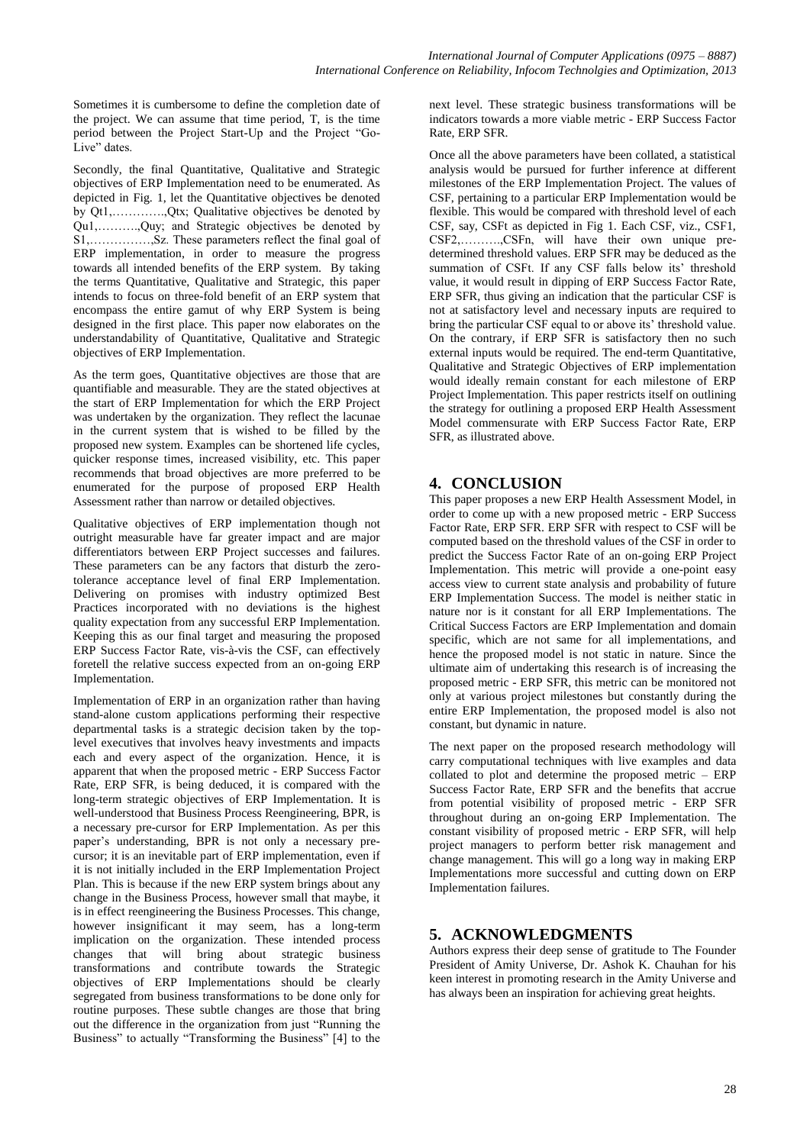Sometimes it is cumbersome to define the completion date of the project. We can assume that time period, T, is the time period between the Project Start-Up and the Project "Go-Live" dates.

Secondly, the final Quantitative, Qualitative and Strategic objectives of ERP Implementation need to be enumerated. As depicted in Fig. 1, let the Quantitative objectives be denoted by Qt1,………….,Qtx; Qualitative objectives be denoted by Qu1,……….,Quy; and Strategic objectives be denoted by S1,……………,Sz. These parameters reflect the final goal of ERP implementation, in order to measure the progress towards all intended benefits of the ERP system. By taking the terms Quantitative, Qualitative and Strategic, this paper intends to focus on three-fold benefit of an ERP system that encompass the entire gamut of why ERP System is being designed in the first place. This paper now elaborates on the understandability of Quantitative, Qualitative and Strategic objectives of ERP Implementation.

As the term goes, Quantitative objectives are those that are quantifiable and measurable. They are the stated objectives at the start of ERP Implementation for which the ERP Project was undertaken by the organization. They reflect the lacunae in the current system that is wished to be filled by the proposed new system. Examples can be shortened life cycles, quicker response times, increased visibility, etc. This paper recommends that broad objectives are more preferred to be enumerated for the purpose of proposed ERP Health Assessment rather than narrow or detailed objectives.

Qualitative objectives of ERP implementation though not outright measurable have far greater impact and are major differentiators between ERP Project successes and failures. These parameters can be any factors that disturb the zerotolerance acceptance level of final ERP Implementation. Delivering on promises with industry optimized Best Practices incorporated with no deviations is the highest quality expectation from any successful ERP Implementation. Keeping this as our final target and measuring the proposed ERP Success Factor Rate, vis-à-vis the CSF, can effectively foretell the relative success expected from an on-going ERP Implementation.

Implementation of ERP in an organization rather than having stand-alone custom applications performing their respective departmental tasks is a strategic decision taken by the toplevel executives that involves heavy investments and impacts each and every aspect of the organization. Hence, it is apparent that when the proposed metric - ERP Success Factor Rate, ERP SFR, is being deduced, it is compared with the long-term strategic objectives of ERP Implementation. It is well-understood that Business Process Reengineering, BPR, is a necessary pre-cursor for ERP Implementation. As per this paper's understanding, BPR is not only a necessary precursor; it is an inevitable part of ERP implementation, even if it is not initially included in the ERP Implementation Project Plan. This is because if the new ERP system brings about any change in the Business Process, however small that maybe, it is in effect reengineering the Business Processes. This change, however insignificant it may seem, has a long-term implication on the organization. These intended process changes that will bring about strategic business transformations and contribute towards the Strategic objectives of ERP Implementations should be clearly segregated from business transformations to be done only for routine purposes. These subtle changes are those that bring out the difference in the organization from just "Running the Business" to actually "Transforming the Business" [4] to the

next level. These strategic business transformations will be indicators towards a more viable metric - ERP Success Factor Rate, ERP SFR.

Once all the above parameters have been collated, a statistical analysis would be pursued for further inference at different milestones of the ERP Implementation Project. The values of CSF, pertaining to a particular ERP Implementation would be flexible. This would be compared with threshold level of each CSF, say, CSFt as depicted in Fig 1. Each CSF, viz., CSF1, CSF2,……….,CSFn, will have their own unique predetermined threshold values. ERP SFR may be deduced as the summation of CSFt. If any CSF falls below its' threshold value, it would result in dipping of ERP Success Factor Rate, ERP SFR, thus giving an indication that the particular CSF is not at satisfactory level and necessary inputs are required to bring the particular CSF equal to or above its' threshold value. On the contrary, if ERP SFR is satisfactory then no such external inputs would be required. The end-term Quantitative, Qualitative and Strategic Objectives of ERP implementation would ideally remain constant for each milestone of ERP Project Implementation. This paper restricts itself on outlining the strategy for outlining a proposed ERP Health Assessment Model commensurate with ERP Success Factor Rate, ERP SFR, as illustrated above.

# **4. CONCLUSION**

This paper proposes a new ERP Health Assessment Model, in order to come up with a new proposed metric - ERP Success Factor Rate, ERP SFR. ERP SFR with respect to CSF will be computed based on the threshold values of the CSF in order to predict the Success Factor Rate of an on-going ERP Project Implementation. This metric will provide a one-point easy access view to current state analysis and probability of future ERP Implementation Success. The model is neither static in nature nor is it constant for all ERP Implementations. The Critical Success Factors are ERP Implementation and domain specific, which are not same for all implementations, and hence the proposed model is not static in nature. Since the ultimate aim of undertaking this research is of increasing the proposed metric - ERP SFR, this metric can be monitored not only at various project milestones but constantly during the entire ERP Implementation, the proposed model is also not constant, but dynamic in nature.

The next paper on the proposed research methodology will carry computational techniques with live examples and data collated to plot and determine the proposed metric – ERP Success Factor Rate, ERP SFR and the benefits that accrue from potential visibility of proposed metric - ERP SFR throughout during an on-going ERP Implementation. The constant visibility of proposed metric - ERP SFR, will help project managers to perform better risk management and change management. This will go a long way in making ERP Implementations more successful and cutting down on ERP Implementation failures.

# **5. ACKNOWLEDGMENTS**

Authors express their deep sense of gratitude to The Founder President of Amity Universe, Dr. Ashok K. Chauhan for his keen interest in promoting research in the Amity Universe and has always been an inspiration for achieving great heights.